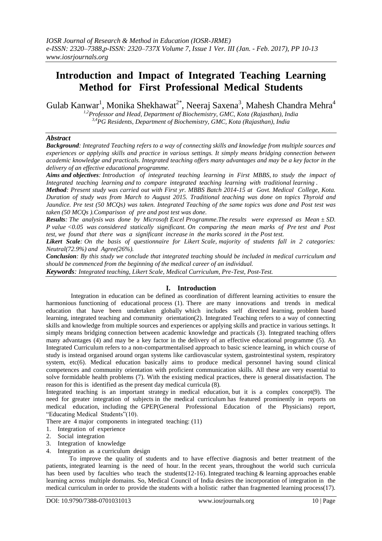# **Introduction and Impact of Integrated Teaching Learning Method for First Professional Medical Students**

Gulab Kanwar<sup>1</sup>, Monika Shekhawat<sup>2\*</sup>, Neeraj Saxena<sup>3</sup>, Mahesh Chandra Mehra<sup>4</sup>

*1,2Professor and Head, Department of Biochemistry, GMC, Kota (Rajasthan), India 3,4PG Residents, Department of Biochemistry, GMC, Kota (Rajasthan), India*

## *Abstract*

*Background: Integrated Teaching refers to a way of connecting skills and knowledge from multiple sources and experiences or applying skills and practice in various settings. It simply means bridging connection between academic knowledge and practicals. Integrated teaching offers many advantages and may be a key factor in the delivery of an effective educational programme.* 

*Aims and objectives: Introduction of integrated teaching learning in First MBBS, to study the impact of Integrated teaching learning and to compare integrated teaching learning with traditional learning .*

*Method: Present study was carried out with First yr. MBBS Batch 2014-15 at Govt. Medical College, Kota. Duration of study was from March to August 2015. Traditional teaching was done on topics Thyroid and Jaundice. Pre test (50 MCQs) was taken. Integrated Teaching of the same topics was done and Post test was taken (50 MCQs ).Comparison of pre and post test was done.* 

*Results: The analysis was done by Microsoft Excel Programme.The results were expressed as Mean ± SD. P value <0.05 was considered statically significant. On comparing the mean marks of Pre test and Post test, we found that there was a significant increase in the marks scored in the Post test.* 

*Likert Scale: On the basis of questionnaire for Likert Scale, majority of students fall in 2 categories: Neutral(72.9%) and Agree(26%).*

*Conclusion: By this study we conclude that integrated teaching should be included in medical curriculum and should be commenced from the beginning of the medical career of an individual.*

*Keywords: Integrated teaching, Likert Scale, Medical Curriculum, Pre-Test, Post-Test.*

## **I. Introduction**

Integration in education can be defined as coordination of different learning activities to ensure the harmonious functioning of educational process (1). There are many innovations and trends in medical education that have been undertaken globally which includes self directed learning, problem based learning, integrated teaching and community orientation(2). Integrated Teaching refers to a way of connecting skills and knowledge from multiple sources and experiences or applying skills and practice in various settings. It simply means bridging connection between academic knowledge and practicals (3). Integrated teaching offers many advantages (4) and may be a key factor in the delivery of an effective educational programme (5). An Integrated Curriculum refers to a non-compartmentalised approach to basic science learning, in which course of study is instead organised around organ systems like cardiovascular system, gastrointestinal system, respiratory system, etc(6). Medical education basically aims to produce medical personnel having sound clinical competences and community orientation with proficient communication skills. All these are very essential to solve formidable health problems (7). With the existing medical practices, there is general dissatisfaction. The reason for this is identified as the present day medical curricula (8).

Integrated teaching is an important strategy in medical education, but it is a complex concept(9). The need for greater integration of subjects in the medical curriculum has featured prominently in reports on medical education, including the GPEP(General Professional Education of the Physicians) report, "Educating Medical Students"(10).

There are 4 major components in integrated teaching: (11)

- 1. Integration of experience
- 2. Social integration
- 3. Integration of knowledge
- 4. Integration as a curriculum design

To improve the quality of students and to have effective diagnosis and better treatment of the patients, integrated learning is the need of hour. In the recent years, throughout the world such curricula has been used by faculties who teach the students(12-16). Integrated teaching  $\&$  learning approaches enable learning across multiple domains. So, Medical Council of India desires the incorporation of integration in the medical curriculum in order to provide the students with a holistic rather than fragmented learning process(17).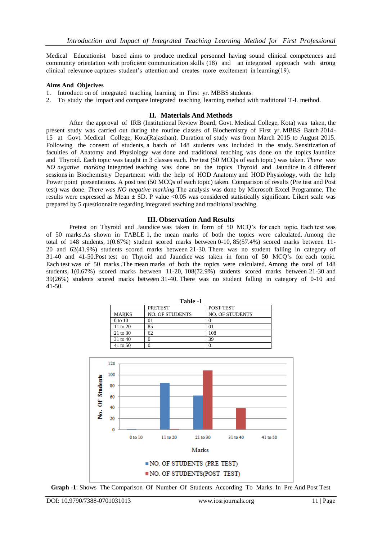Medical Educationist based aims to produce medical personnel having sound clinical competences and community orientation with proficient communication skills (18) and an integrated approach with strong clinical relevance captures student's attention and creates more excitement in learning(19).

### **Aims And Objecives**

- 1. Introducti on of integrated teaching learning in First yr. MBBS students.
- 2. To study the impact and compare Integrated teaching learning method with traditional T-L method.

### **II. Materials And Methods**

After the approval of IRB (Institutional Review Board, Govt. Medical College, Kota) was taken, the present study was carried out during the routine classes of Biochemistry of First yr. MBBS Batch 2014- 15 at Govt. Medical College, Kota(Rajasthan). Duration of study was from March 2015 to August 2015. Following the consent of students, a batch of 148 students was included in the study. Sensitization of faculties of Anatomy and Physiology was done and traditional teaching was done on the topics Jaundice and Thyroid. Each topic was taught in 3 classes each. Pre test (50 MCQs of each topic) was taken. *There was NO negative marking* Integrated teaching was done on the topics Thyroid and Jaundice in 4 different sessions in Biochemistry Department with the help of HOD Anatomy and HOD Physiology, with the help Power point presentations. A post test (50 MCOs of each topic) taken. Comparison of results (Pre test and Post test) was done. *There was NO negative marking* The analysis was done by Microsoft Excel Programme. The results were expressed as Mean  $\pm$  SD. P value <0.05 was considered statistically significant. Likert scale was prepared by 5 questionnaire regarding integrated teaching and traditional teaching.

### **III. Observation And Results**

Pretest on Thyroid and Jaundice was taken in form of 50 MCQ's for each topic. Each test was of 50 marks.As shown in TABLE 1, the mean marks of both the topics were calculated. Among the total of 148 students, 1(0.67%) student scored marks between 0-10, 85(57.4%) scored marks between 11- 20 and 62(41.9%) students scored marks between 21-30. There was no student falling in category of 31-40 and 41-50.Post test on Thyroid and Jaundice was taken in form of 50 MCQ's for each topic. Each test was of 50 marks.*.*The mean marks of both the topics were calculated. Among the total of 148 students, 1(0.67%) scored marks between 11-20, 108(72.9%) students scored marks between 21-30 and 39(26%) students scored marks between 31-40. There was no student falling in category of 0-10 and 41-50.

| Table -1     |                        |                        |  |  |  |
|--------------|------------------------|------------------------|--|--|--|
|              | <b>PRETEST</b>         | POST TEST              |  |  |  |
| <b>MARKS</b> | <b>NO. OF STUDENTS</b> | <b>NO. OF STUDENTS</b> |  |  |  |
| 0 to 10      |                        |                        |  |  |  |
| 11 to 20     | 85                     | D                      |  |  |  |
| 21 to 30     | 62                     | 108                    |  |  |  |
| 31 to 40     |                        | 39                     |  |  |  |
| 41 to 50     |                        |                        |  |  |  |



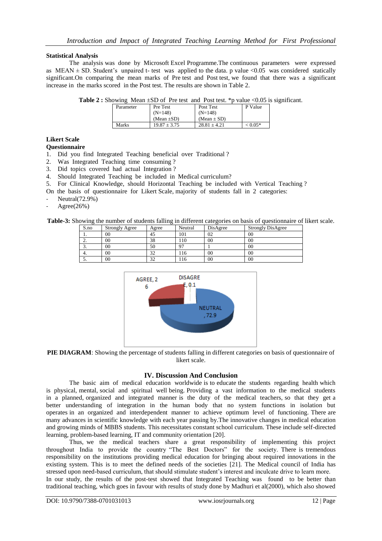### **Statistical Analysis**

The analysis was done by Microsoft Excel Programme.The continuous parameters were expressed as MEAN  $\pm$  SD. Student's unpaired t- test was applied to the data. p value <0.05 was considered statically significant.On comparing the mean marks of Pre test and Post test, we found that there was a significant increase in the marks scored in the Post test. The results are shown in Table 2.

| <b>Table 2:</b> Showing Mean $\pm$ SD of Pre test and Post test. *p value <0.05 is significant. |  |  |  |  |  |  |  |  |  |  |
|-------------------------------------------------------------------------------------------------|--|--|--|--|--|--|--|--|--|--|
|-------------------------------------------------------------------------------------------------|--|--|--|--|--|--|--|--|--|--|

| Parameter | Pre Test         | Post Test       | P Value   |
|-----------|------------------|-----------------|-----------|
|           | $(N=148)$        | $(N=148)$       |           |
|           | (Mean $\pm SD$ ) | $(Mean \pm SD)$ |           |
| Marks     | $19.87 \pm 3.75$ | $28.81 + 4.21$  | $< 0.05*$ |

## **Likert Scale**

**Questionnaire**

- 1. Did you find Integrated Teaching beneficial over Traditional ?
- 2. Was Integrated Teaching time consuming ?
- 3. Did topics covered had actual Integration ?
- 4. Should Integrated Teaching be included in Medical curriculum?<br>5. For Clinical Knowledge, should Horizontal Teaching be include
- 5. For Clinical Knowledge, should Horizontal Teaching be included with Vertical Teaching ?
- On the basis of questionnaire for Likert Scale, majority of students fall in 2 categories:
- Neutral(72.9%)
- $Agree(26%)$

**Table-3:** Showing the number of students falling in different categories on basis of questionnaire of likert scale.

| S.no     | <b>Strongly Agree</b> | Agree         | Neutral | DisAgree | <b>Strongly DisAgree</b> |
|----------|-----------------------|---------------|---------|----------|--------------------------|
|          | 00                    | 45            | 101     | 02       | 00                       |
| <u>.</u> | 00                    | 38            | 10ء     | 00       | 00                       |
| J.       | 00                    | 50            | 07      |          | 00                       |
| ٠.       | 00                    | $\mathcal{L}$ | .16     | 00       | 00                       |
| J.       | 00                    | $\sim$        | 16ء     | 00       | 00                       |



**PIE DIAGRAM**: Showing the percentage of students falling in different categories on basis of questionnaire of likert scale.

### **IV. Discussion And Conclusion**

The basic aim of medical education worldwide is to educate the students regarding health which is physical, mental, social and spiritual well being. Providing a vast information to the medical students in a planned, organized and integrated manner is the duty of the medical teachers, so that they get a better understanding of integration in the human body that no system functions in isolation but operates in an organized and interdependent manner to achieve optimum level of functioning. There are many advances in scientific knowledge with each year passing by.The innovative changes in medical education and growing minds of MBBS students. This necessitates constant school curriculum. These include self-directed learning, problem-based learning, IT and community orientation [20].

Thus, we the medical teachers share a great responsibility of implementing this project throughout India to provide the country "The Best Doctors" for the society. There is tremendous responsibility on the institutions providing medical education for bringing about required innovations in the existing system. This is to meet the defined needs of the societies [21]. The Medical council of India has stressed upon need-based curriculum, that should stimulate student's interest and inculcate drive to learn more. In our study, the results of the post-test showed that Integrated Teaching was found to be better than traditional teaching, which goes in favour with results of study done by Madhuri et al(2000), which also showed